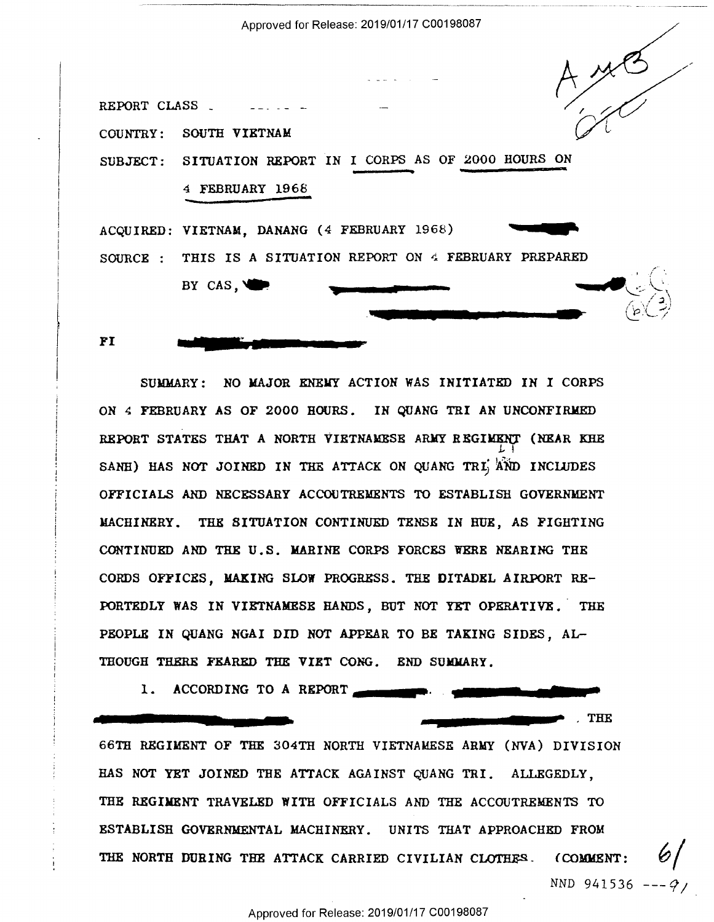Approved for Release: 2019/01/17 C00198087 Approved for Release: 2019/01/17 <sup>000198087</sup>



SUMMARY: NO MAJOR ENEMY ACTION WAS INITIATED IN I CORPS SUMMARY: NO MAJOR ENEHY ACTION WAS INITIATED IN I CORPS ON 4 FEBRUARY AS OF 2000 HOURS. IN QUANG TRI AN UNCONFIRMED REPORT STATES THAT A NORTH VIETNAMESE ARMY REGIMENT (NEAR KHE  $\mathsf{L}$  ! SANH) HAS NOT JOINED IN THE ATTACK ON QUANG TRI AND INCLUDES OFFICIALS AND NECESSARY ACCOUTREMENTS TO ESTABLISH GOVERNMENT OFFICIALS AND NECESSARY ACCOUTRENENTS TO ESTABLISH GOVERNMENT MACHINERY. THE SITUATION CONTINUED TENSE IN BUE, AS FIGHTING MACHINERY. THE SITUATION CONTINUED TENBE IN HOE, AS FIGHTING CONTINUED AND THE U.S. MARINE CORPS FORCES WERE NEARING THE CONTINUED AND THE U.S. MARINE CORPS FORCES WERE NEARING THE CORDS OFFICES, MAKING SLOW PROGRESS. THE DITADEL AIRPORT RE-PORTEDLY WAS IN VIETNAMESE HANDS, BUT NOT YET OPERATIVE. THE PORTEDLY WAS IN VIETNAMESE HANDS, BUT NOT YET OPERATIVE. 'THE PEOPLE IN QUANG NGAI DID NOT APPEAR TO BE TAKING SIDES, AL-THOUGH THERE FEARED THE VIET CONG. END SUMMARY.

.....\_..\_.,..\_.....'\_..—..-.

m

1. ACCORDING TO A REPORT A<u>M'an American American State (1988)</u>

#-

. THE . THE

66TH REGIMENT OF THE 304TH NORTH VIETNAMESE ARMY (NVA) DIVISION 66TH REGIHENT OF THE 304TH NORTH VIETNAMESE ARMY (NVA) DIVISION HAS NOT YET JOINED THE ATTACK AGAINST QUANG TRI. ALLEGEDLY, THE REGIMENT TRAVELED WITH OFFICIALS AND THE ACCOUTREMENTS TO THE REGIMENT TRAVELED WITH OFFICIALS AND THE ACCOUTREMENTS TO ESTABLISH GOVERNMENTAL MACHINERY. UNITS THAT APPROACHED FROM ESTABLISH GOVERNMENTAL MACHINERY. UNITS THAT APPROACHED FROM THE NORTH DURING THE ATTACK CARRIED CIVILIAN CLOTHES. (COMMENT:  $\mathscr{C}/$ *NND* 941536 ---*9*/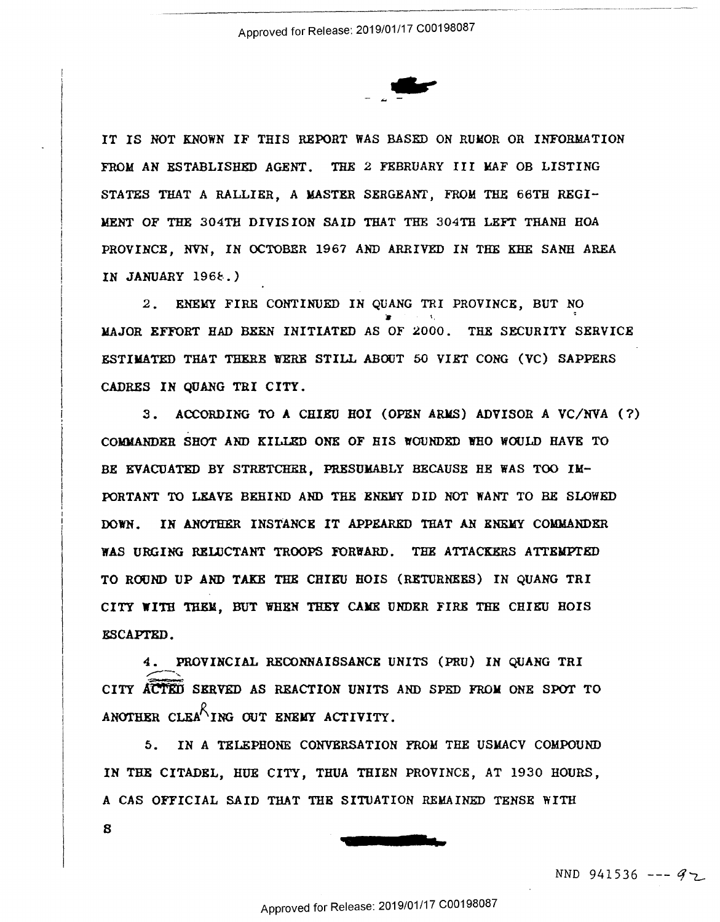

IT IS NOT KNOWN IF THIS REPORT WAS BASED ON RUMOR OR INFORMATION FROM AN ESTABLISHED AGENT. THE 2 FEBRUARY III MAF OB LISTING STATES THAT A RALLIER, A MASTER SERGEANT, FROM THE 66TH REGI-MENT OF THE 304TH DIVISION SAID THAT THE 304TH LEFT THANH HOA PROVINCE, NVN, IN OCTOBER 1967 AND ARRIVED IN THE KHE SANH AREA PROVINCE, NVN, IN OCTOBER 1967 AND ARRIVED IN THE KHE SANH AREA IN JANUARY 1968.)

*2.* ENEMY FIRE CONTINUED IN QUANG TRI PROVINCE, BUT NO 2. ENEMY FIRE CONTINUED IN QUANG TRI PROVINCE, BUT NO MAJOR EFFORT HAD BEEN INITIATED AS OF 2000. THE SECURITY SERVICE ESTIMATED THAT THERE WERE STILL ABOUT 50 VIET CONG (VC) SAPPERS CADRES IN QUANG TRI CITY. CADRES IN OUANG TRI CITY.

3. ACCORDING TO A CHIEU HOI (OPEN ARMS) ADVISOR A VC/NVA (?) COMMANDER SHOT AND KILLED ONE OF HIS WOUNDED WHO WOULD HAVE TO BE EVACUATED BY STRETCHER, PRESUMABLY BECAUSE HE WAS TOO IM-BE EVACUATED BY STRETCHER, PRESUMABLY BECAUSE HE WAS TOO IM-PORTANT TO LEAVE BEHIND AND THE ENElfY DID NOT WANT TO BE SLOWED PORTANT TO LEAVE BEHIND AND THE'ENEHY DID NOT WANT TO BE SLOHED DOWN. IN ANOTHER INSTANCE IT APPEARED THAT AN ENEMY COMMANDER WAS URGING RELUCTANT TROOPS FORWARD. THE ATTACKERS ATTEMPTED TO ROUND UP AND TAKE THE CHIEU HOIS (RETURNEES) IN QUANG TRI CITY WITH THEM, BUT WHEN THEY CAME UNDER FIRE THE CHIEU HOIS ESCAPTED.

4. PROVINCIAL RECONNAISSANCE UNITS (PRU) IN QUANG TRI 4. PROVINCIAL RECONNAISSANCE UNITS (PRU) IN QUANG TRI<br>CITY ACTED SERVED AS REACTION UNITS AND SPED FROM ONE SPOT TO ANOTHER CLEA<sup>N</sup>ING OUT ENEMY ACTIVITY.

5. IN A TELEPHONE CONVERSATION FROM THE USMACV COMPOUND 5. IN A TELEPHONE CONVERSATION FROM THE USMACV COMPOUND IN THE CITADEL, HUE CITY, THUA THIEN PROVINCE, AT 1930 HOURS, IN THE CITADEL, RUE CITY, THUA THIEN PROVINCE, AT 1930 HOURS, ACAS OFFICIAL SAID THAT THE SITIJATION REMAINED TENSE WITH A CAS OFFICIAL SAID THAT THE SITUATION REMAINED TENSE WITH 8 8



NND 941536 --- *Cf--z\_.*  NND 941536 -—--— 47,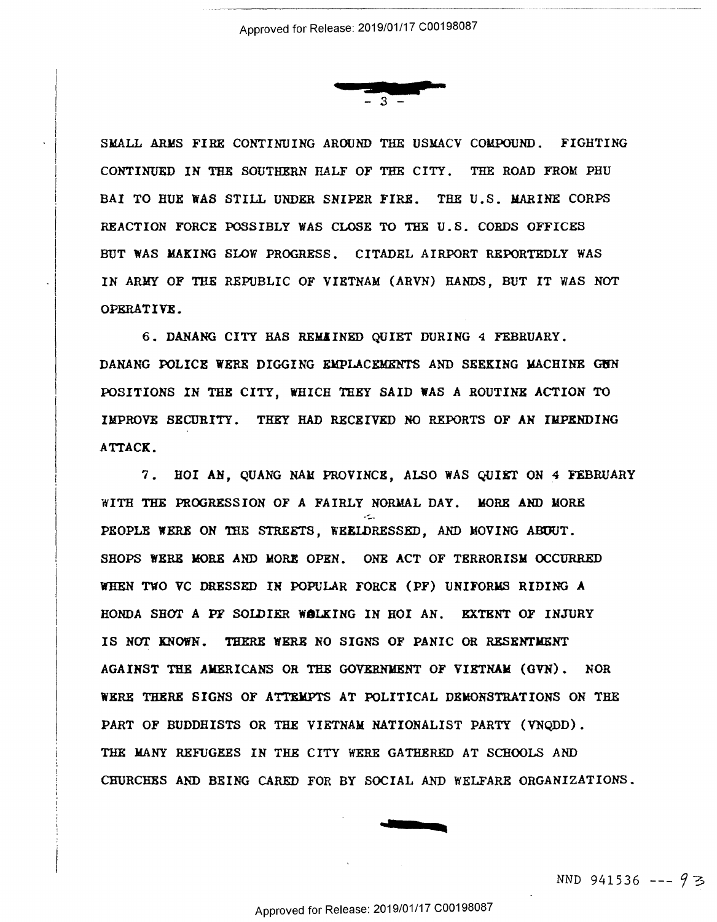

SMALL ARMS FIRE CONTINUING AROUND THE USMACV COMPOUND. FIGHTING CONTINUED IN THE SOUTHERN IIALF OF THE CITY. THE ROAD FROM PHU CONTINUED IN THE SOUTHERN HALF OF THE CITY. THE ROAD FROM PHU BAI TO HUE WAS STILL UNDER SNIPER **FIRE.** THE U.S. MARINE CORPS BAI TO RUE NAS STILL UNDER SNIPER FIRE. THE U.s. MARINE CORPS REACTION FORCE POSSIBLY WAS CLOSE TO THE U.S. CORDS OFFICES REACTION FORCE POSSIBLY WAS CLOSE TO THE U.S. CORDS OFFICES BUT **WAS MAKING** SLOW PROGRESS. CITADEL AIRPORT REPORTEDLY WAS BUT NAS MAKING SLOW PROGRESS. CITADEL AIRPORT REPORTEDLY WAS IN ARMY OF THE REPUBLIC OF VIETNAM (ARYN) HANDS, BUT IT WAS NOT IN ARMY OF THE REPUBLIC OF VIETNAM (ARVN) HANDS, BUT IT WAS NOT OPERATIVE. OPERATIVE.

6. DANANG CITY *BAB* REMIINED QUIET DURING 4 FEBRUARY. 6. DANANG CITY HAS REMIINED QUIET DURING 4 FEBRUARY. DANANG POLICE WERE DIGGING EMPLACEMENTS AND SEEKING MACHINE GUN POSITIONS IN THE CITY, WHICH THEY SAID WAS A ROUTINE ACTION TO POSITIONS IN THE CITY, WHICH THEY SAID WAS A ROUTINE ACTION TO IMPROVE SECURITY. THEY HAD RECEIVED NO REPORTS OF AN IlIPXNDING IMPROVE SECURITY. THEY HAD RECEIVED NO REPORTS OF AN IMPENDING A'ITACK. ATTACK.

7. HOI AN, QUANG NAlf PROVINCE, ALSO WAS QUIET ON 4 FEBRUARY 7. HOT AN, QUANG NAM PROVINCE, ALSO WAS QUIET ON 4 FEBRUARY WITH THE PROGRESSION OF A FAIRLY NORMAL DAY. MORE AND MORE PEOPLE WERE ON THE STREETS, WEELDRESSED, AND MOVING ABOUT. SHOPS WERE MORE AND MORE OPEN. ONE ACT OF TERRORISM OCCURRED WHEN TWO VC DRESSED IN POPULAR FORCE (PF) UNIFORMS RIDING **A**  WHEN Two VC DRESSED IN POPULAR FORCE (PF) UNIFORMS RIDING A HONDA SHOT A PF SOIDIER **WALKING** IN HOI AN. EXTENT OF INJURY HONDA SHOT A PF SOLDIER WBLKING IN HOI AN. EXTENT OF INJURY IS NOT KNOWN. THERE WERE NO SIGNS OF PANIC OR RESENTMENT IS NOT KNONN. THERE HERE NO SIGNS OF PANIC OR RESENTMENT AGAINST THE AMERICANS OR THE GOVERNMENT OF **VIETNAM** (GVN). NOR AGAINST THE AMERICANS OR THE GOVERNMENT OF VIETNAM (GVN). NOR WERE THERE SIGNS OF ATTEMPTS AT POLITICAL DEMONSTRATIONS ON THE WERE THERE SIGNS OF ATTEMPTS AT POLITICAL DEMONSTRATIONS ON THE PART OF BUDDHISTS OR THE VIETNAM NATIONALIST PARTY (VNQDD). PART OF BUDDHISTS OR THE VIETNAM NATIONALIST PARTY (VNODD). THE MANY REFlJGKES IN THE CITY WERE GATHERED AT SCHOOLS AND THE MANY REFUGEES IN THE CITY HERE GATHERED AT SCHOOLS AND CHURCHES AND BEING CARED FOR BY SOCIAL AND WELFARE ORGANIZATIONS.



---• a-••-----•-• -- -•----------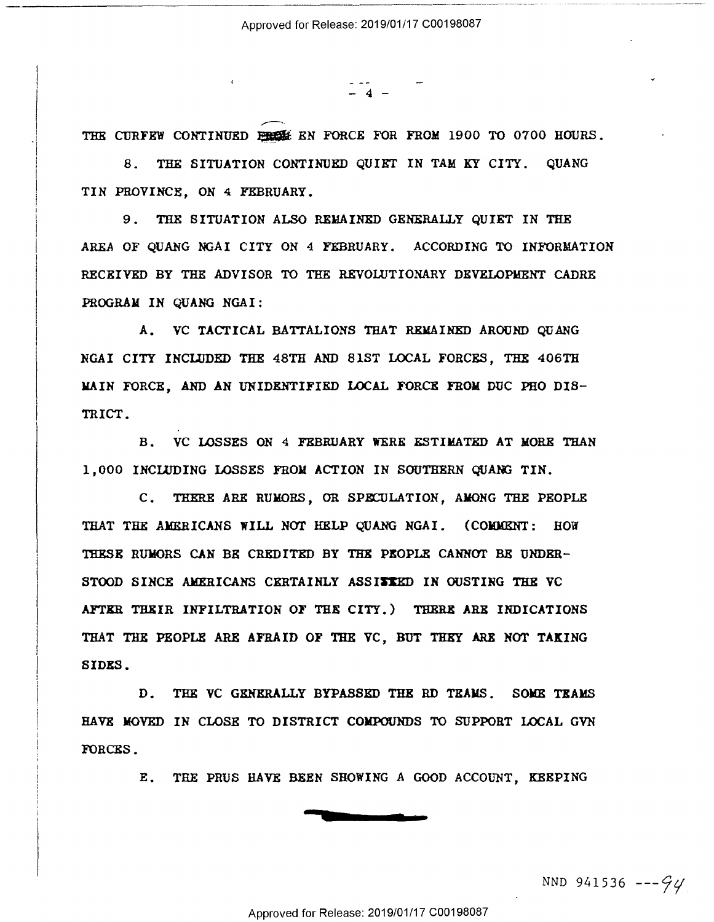$\frac{1}{4}$  -

THE CURFEW CONTINUED EXECUTE FOR FORCE FOR FROM 1900 TO 0700 HOURS.

 $\overline{\phantom{0}}$ 

8. THE SITUATION CONTINUED QUIET IN TAM KY CITY. QUANG 8. THE SITUATION CONTINUED QUIET IN TAM KY CITY. OUANG TIN PROVINCE, ON 4 FEBRUARY. TIN PROVINCE, ON 4 FEBRUARY.

9. THE SITUATION ALSO REMAINED GENERALLY QUIET IN THE 9. THE SITUATION ALSO REMAINED GENERALLY QUIET IN THE AREA OF QUANG NGAI CITY ON 4 FEBRUARY. ACCORDING TO INFORMATION AREA OF QUANG NGAI CITY ON 4 FEBRUARY. ACCORDING TO INFORMATION RECEIVED BY THE ADVISOR TO THE REVOWTIONARY DEVELOPMENT CADRE RECEIVED BY THE ADVISOR To THE REVOLUTIONARY DEVELOPMENT CADRE PROGRAM IN QUANG NGA!: PROGRAM IN QUANG NGAI:

A. VC TACTICAL BATTALIONS THAT REMAINED AROUND QUANG NGAI CITY INCLUDED THE 48TH AND 81ST LOCAL FORCES, THE 406TB NGAI CITY INCLUDED THE 48TH AND 818T LOCAL FORCES, THE 406TH MAIN FORCE, AND AN UNIDENTIFIED LOCAL FORCE FROM DUC PHO DIS-MAIN FORCE, AND AN UNIDENTIFIED LOCAL FORCE FROM DUC PHO DIS— TRICT. TRICT.

B. VC LOSSES ON 4 FEBRUARY WERE ESTIMATED AT MORE THAN 1,000 INCLUDING LOSSES FROM ACTION IN SOUTHERN QUANG TIN.

C. THERE ARE RUMORS, OR SPECULATION, AMONG THE PEOPLE THAT THE AMERICANS WILL NOT HELP QUANG NGAI. (COMMENT: HOW 'IllESE RUMORS CAN BR CREDITED BY THE PEOPLE CANNCYI' BE UNDER-THESE RUMORS CAN BE CREDITED BY THE PEOPLE CANNOT BE UNDER-STOOD SINCE AMERICANS CERTAINLY ASSI**SIE**D IN OUSTING THE VC AFTER THEIR INFILTRATION OF THE CITY.) THERE ARB INDICATIONS AFTER THEIR INFILTRATION OF THE CITY.) THERE ARE INDICATIONS THAT THE PEOPLE ARE AFRAID OF THE VC, BUT THEY ARX MOT **TAKING**  THAT THE PEOPLE ARE AFRAID OF THE YC, BUT THEY ARE NOT TAKING SIDES. SIDES.

D. THE VC GRNXRALLY BYPASSED THE RD TRAMS. SOME TEAMS D. THE YC GENERALLY BYPASSED THE RD TEAMS. SOME TEAMS HAVE MOVED IN CLOSE TO DISTRICT COMPOUNDS TO SUPPORT LOCAL GVN HAVE MOVED IN CLOSE To DISTRICT COMPOUNDS To SUPPORT LOCAL GYN FORCES. FORCES.

E. THE PRUS HAVE BEEN SHOWING A GOOD ACCOUNT, KEEPING B. THE PRUS HAVE BEEN SHOWING A GOOD ACCOUNT, KEEPING



NND 941536 *---Cjtj*  NND 941536 "—97/